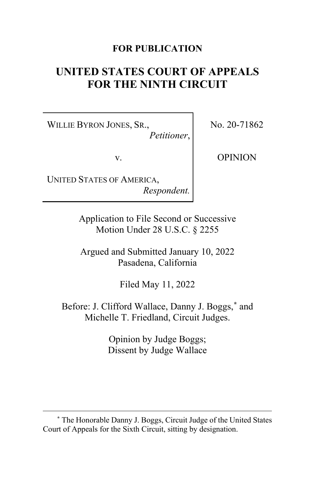# **FOR PUBLICATION**

# **UNITED STATES COURT OF APPEALS FOR THE NINTH CIRCUIT**

WILLIE BYRON JONES, SR., *Petitioner*, No. 20-71862

v.

OPINION

UNITED STATES OF AMERICA, *Respondent.*

> Application to File Second or Successive Motion Under 28 U.S.C. § 2255

> Argued and Submitted January 10, 2022 Pasadena, California

> > Filed May 11, 2022

Before: J. Clifford Wallace, Danny J. Boggs, **[\\*](#page-0-0)** and Michelle T. Friedland, Circuit Judges.

> Opinion by Judge Boggs; Dissent by Judge Wallace

<span id="page-0-0"></span>**<sup>\*</sup>** The Honorable Danny J. Boggs, Circuit Judge of the United States Court of Appeals for the Sixth Circuit, sitting by designation.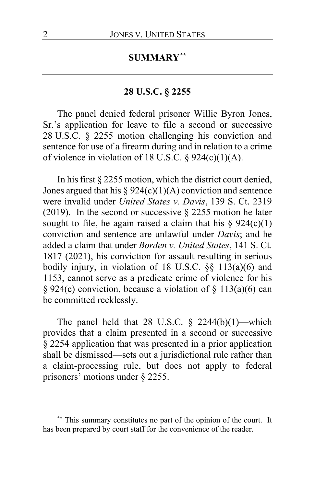## **SUMMARY[\\*\\*](#page-1-0)**

### **28 U.S.C. § 2255**

The panel denied federal prisoner Willie Byron Jones, Sr.'s application for leave to file a second or successive 28 U.S.C. § 2255 motion challenging his conviction and sentence for use of a firearm during and in relation to a crime of violence in violation of 18 U.S.C.  $\S$  924(c)(1)(A).

In his first § 2255 motion, which the district court denied, Jones argued that his  $\S 924(c)(1)(A)$  conviction and sentence were invalid under *United States v. Davis*, 139 S. Ct. 2319 (2019). In the second or successive  $\S$  2255 motion he later sought to file, he again raised a claim that his  $\S 924(c)(1)$ conviction and sentence are unlawful under *Davis*; and he added a claim that under *Borden v. United States*, 141 S. Ct. 1817 (2021), his conviction for assault resulting in serious bodily injury, in violation of 18 U.S.C. §§ 113(a)(6) and 1153, cannot serve as a predicate crime of violence for his § 924(c) conviction, because a violation of § 113(a)(6) can be committed recklessly.

The panel held that 28 U.S.C.  $\S$  2244(b)(1)—which provides that a claim presented in a second or successive § 2254 application that was presented in a prior application shall be dismissed—sets out a jurisdictional rule rather than a claim-processing rule, but does not apply to federal prisoners' motions under § 2255.

<span id="page-1-0"></span>**<sup>\*\*</sup>** This summary constitutes no part of the opinion of the court. It has been prepared by court staff for the convenience of the reader.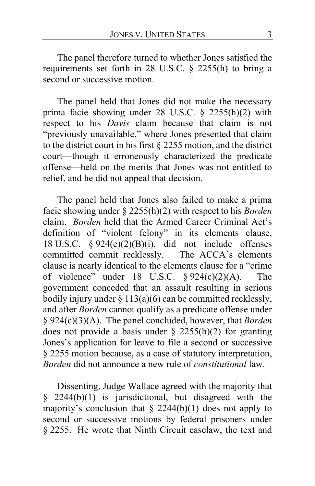The panel therefore turned to whether Jones satisfied the requirements set forth in 28 U.S.C. § 2255(h) to bring a second or successive motion.

The panel held that Jones did not make the necessary prima facie showing under 28 U.S.C. § 2255(h)(2) with respect to his *Davis* claim because that claim is not "previously unavailable," where Jones presented that claim to the district court in his first § 2255 motion, and the district court—though it erroneously characterized the predicate offense—held on the merits that Jones was not entitled to relief, and he did not appeal that decision.

The panel held that Jones also failed to make a prima facie showing under § 2255(h)(2) with respect to his *Borden* claim. *Borden* held that the Armed Career Criminal Act's definition of "violent felony" in its elements clause, 18 U.S.C.  $\S 924(e)(2)(B)(i)$ , did not include offenses committed commit recklessly. The ACCA's elements clause is nearly identical to the elements clause for a "crime of violence" under 18 U.S.C.  $\frac{6}{924(c)(2)(A)}$ . The government conceded that an assault resulting in serious bodily injury under  $\S 113(a)(6)$  can be committed recklessly, and after *Borden* cannot qualify as a predicate offense under § 924(c)(3)(A). The panel concluded, however, that *Borden* does not provide a basis under  $\S$  2255(h)(2) for granting Jones's application for leave to file a second or successive § 2255 motion because, as a case of statutory interpretation, *Borden* did not announce a new rule of *constitutional* law.

Dissenting, Judge Wallace agreed with the majority that § 2244(b)(1) is jurisdictional, but disagreed with the majority's conclusion that  $\S$  2244(b)(1) does not apply to second or successive motions by federal prisoners under § 2255. He wrote that Ninth Circuit caselaw, the text and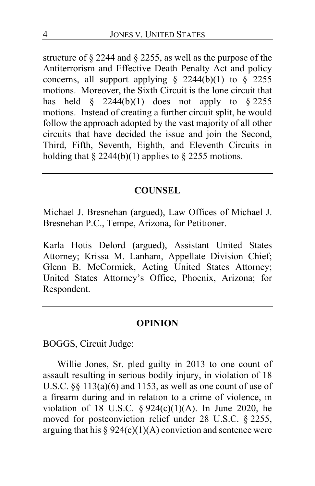structure of § 2244 and § 2255, as well as the purpose of the Antiterrorism and Effective Death Penalty Act and policy concerns, all support applying  $\S$  2244(b)(1) to  $\S$  2255 motions. Moreover, the Sixth Circuit is the lone circuit that has held  $\frac{8}{9}$  2244(b)(1) does not apply to  $\frac{8}{9}$  2255 motions. Instead of creating a further circuit split, he would follow the approach adopted by the vast majority of all other circuits that have decided the issue and join the Second, Third, Fifth, Seventh, Eighth, and Eleventh Circuits in holding that  $\S 2244(b)(1)$  applies to  $\S 2255$  motions.

### **COUNSEL**

Michael J. Bresnehan (argued), Law Offices of Michael J. Bresnehan P.C., Tempe, Arizona, for Petitioner.

Karla Hotis Delord (argued), Assistant United States Attorney; Krissa M. Lanham, Appellate Division Chief; Glenn B. McCormick, Acting United States Attorney; United States Attorney's Office, Phoenix, Arizona; for Respondent.

#### **OPINION**

BOGGS, Circuit Judge:

Willie Jones, Sr. pled guilty in 2013 to one count of assault resulting in serious bodily injury, in violation of 18 U.S.C. §§ 113(a)(6) and 1153, as well as one count of use of a firearm during and in relation to a crime of violence, in violation of 18 U.S.C.  $\S 924(c)(1)(A)$ . In June 2020, he moved for postconviction relief under 28 U.S.C. § 2255, arguing that his  $\S 924(c)(1)(A)$  conviction and sentence were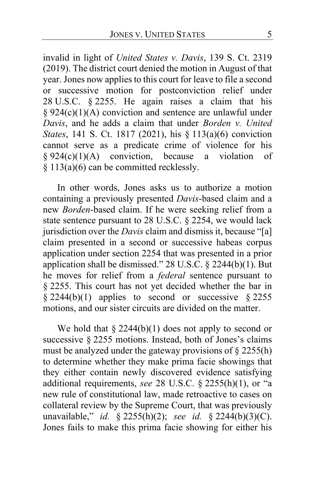invalid in light of *United States v. Davis*, 139 S. Ct. 2319 (2019). The district court denied the motion in August of that year. Jones now applies to this court for leave to file a second or successive motion for postconviction relief under 28 U.S.C. § 2255. He again raises a claim that his § 924(c)(1)(A) conviction and sentence are unlawful under *Davis*, and he adds a claim that under *Borden v. United States*, 141 S. Ct. 1817 (2021), his § 113(a)(6) conviction cannot serve as a predicate crime of violence for his  $§ 924(c)(1)(A)$  conviction, because a violation of § 113(a)(6) can be committed recklessly.

In other words, Jones asks us to authorize a motion containing a previously presented *Davis*-based claim and a new *Borden*-based claim. If he were seeking relief from a state sentence pursuant to 28 U.S.C. § 2254, we would lack jurisdiction over the *Davis* claim and dismiss it, because "[a] claim presented in a second or successive habeas corpus application under section 2254 that was presented in a prior application shall be dismissed." 28 U.S.C. § 2244(b)(1). But he moves for relief from a *federal* sentence pursuant to § 2255. This court has not yet decided whether the bar in  $§$  2244(b)(1) applies to second or successive  $§$  2255 motions, and our sister circuits are divided on the matter.

We hold that  $\S 2244(b)(1)$  does not apply to second or successive § 2255 motions. Instead, both of Jones's claims must be analyzed under the gateway provisions of § 2255(h) to determine whether they make prima facie showings that they either contain newly discovered evidence satisfying additional requirements, *see* 28 U.S.C. § 2255(h)(1), or "a new rule of constitutional law, made retroactive to cases on collateral review by the Supreme Court, that was previously unavailable," *id.* § 2255(h)(2); *see id.* § 2244(b)(3)(C). Jones fails to make this prima facie showing for either his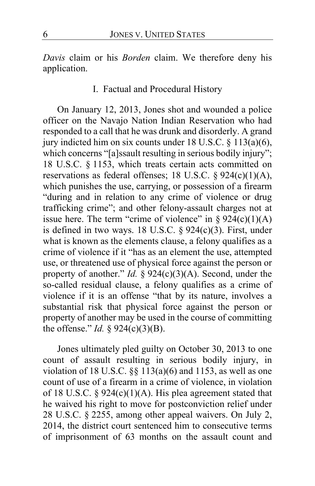*Davis* claim or his *Borden* claim. We therefore deny his application.

# I. Factual and Procedural History

On January 12, 2013, Jones shot and wounded a police officer on the Navajo Nation Indian Reservation who had responded to a call that he was drunk and disorderly. A grand jury indicted him on six counts under 18 U.S.C. § 113(a)(6), which concerns "[a]ssault resulting in serious bodily injury"; 18 U.S.C. § 1153, which treats certain acts committed on reservations as federal offenses; 18 U.S.C. § 924(c)(1)(A), which punishes the use, carrying, or possession of a firearm "during and in relation to any crime of violence or drug trafficking crime"; and other felony-assault charges not at issue here. The term "crime of violence" in  $\S 924(c)(1)(A)$ is defined in two ways. 18 U.S.C.  $\S$  924(c)(3). First, under what is known as the elements clause, a felony qualifies as a crime of violence if it "has as an element the use, attempted use, or threatened use of physical force against the person or property of another." *Id.* § 924(c)(3)(A). Second, under the so-called residual clause, a felony qualifies as a crime of violence if it is an offense "that by its nature, involves a substantial risk that physical force against the person or property of another may be used in the course of committing the offense." *Id.*  $\frac{6}{5}$  924(c)(3)(B).

Jones ultimately pled guilty on October 30, 2013 to one count of assault resulting in serious bodily injury, in violation of 18 U.S.C.  $\S$  113(a)(6) and 1153, as well as one count of use of a firearm in a crime of violence, in violation of 18 U.S.C. § 924(c)(1)(A). His plea agreement stated that he waived his right to move for postconviction relief under 28 U.S.C. § 2255, among other appeal waivers. On July 2, 2014, the district court sentenced him to consecutive terms of imprisonment of 63 months on the assault count and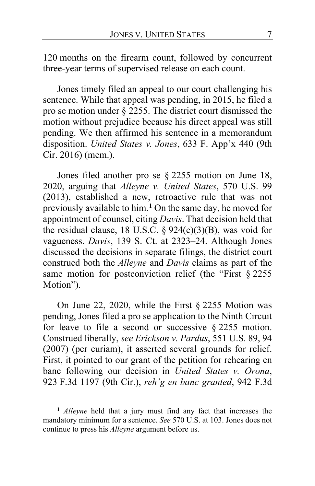120 months on the firearm count, followed by concurrent three-year terms of supervised release on each count.

Jones timely filed an appeal to our court challenging his sentence. While that appeal was pending, in 2015, he filed a pro se motion under § 2255. The district court dismissed the motion without prejudice because his direct appeal was still pending. We then affirmed his sentence in a memorandum disposition. *United States v. Jones*, 633 F. App'x 440 (9th Cir. 2016) (mem.).

Jones filed another pro se § 2255 motion on June 18, 2020, arguing that *Alleyne v. United States*, 570 U.S. 99 (2013), established a new, retroactive rule that was not previously available to him.**[1](#page-6-0)** On the same day, he moved for appointment of counsel, citing *Davis*. That decision held that the residual clause, 18 U.S.C. §  $924(c)(3)(B)$ , was void for vagueness. *Davis*, 139 S. Ct. at 2323–24. Although Jones discussed the decisions in separate filings, the district court construed both the *Alleyne* and *Davis* claims as part of the same motion for postconviction relief (the "First § 2255 Motion").

On June 22, 2020, while the First § 2255 Motion was pending, Jones filed a pro se application to the Ninth Circuit for leave to file a second or successive § 2255 motion. Construed liberally, *see Erickson v. Pardus*, 551 U.S. 89, 94 (2007) (per curiam), it asserted several grounds for relief. First, it pointed to our grant of the petition for rehearing en banc following our decision in *United States v. Orona*, 923 F.3d 1197 (9th Cir.), *reh'g en banc granted*, 942 F.3d

<span id="page-6-0"></span>**<sup>1</sup>** *Alleyne* held that a jury must find any fact that increases the mandatory minimum for a sentence. *See* 570 U.S. at 103. Jones does not continue to press his *Alleyne* argument before us.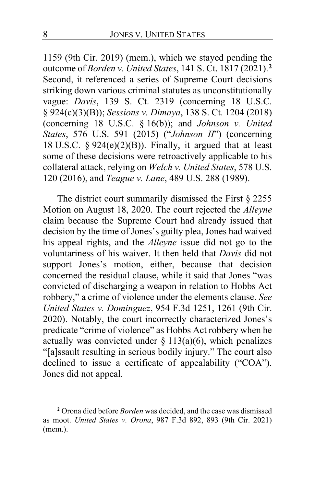1159 (9th Cir. 2019) (mem.), which we stayed pending the outcome of *Borden v. United States*, 141 S. Ct. 1817 (2021).**[2](#page-7-0)** Second, it referenced a series of Supreme Court decisions striking down various criminal statutes as unconstitutionally vague: *Davis*, 139 S. Ct. 2319 (concerning 18 U.S.C. § 924(c)(3)(B)); *Sessions v. Dimaya*, 138 S. Ct. 1204 (2018) (concerning 18 U.S.C. § 16(b)); and *Johnson v. United States*, 576 U.S. 591 (2015) ("*Johnson II*") (concerning 18 U.S.C.  $\S 924(e)(2)(B)$ ). Finally, it argued that at least some of these decisions were retroactively applicable to his collateral attack, relying on *Welch v. United States*, 578 U.S. 120 (2016), and *Teague v. Lane*, 489 U.S. 288 (1989).

The district court summarily dismissed the First § 2255 Motion on August 18, 2020. The court rejected the *Alleyne* claim because the Supreme Court had already issued that decision by the time of Jones's guilty plea, Jones had waived his appeal rights, and the *Alleyne* issue did not go to the voluntariness of his waiver. It then held that *Davis* did not support Jones's motion, either, because that decision concerned the residual clause, while it said that Jones "was convicted of discharging a weapon in relation to Hobbs Act robbery," a crime of violence under the elements clause. *See United States v. Dominguez*, 954 F.3d 1251, 1261 (9th Cir. 2020). Notably, the court incorrectly characterized Jones's predicate "crime of violence" as Hobbs Act robbery when he actually was convicted under  $\S$  113(a)(6), which penalizes "[a]ssault resulting in serious bodily injury." The court also declined to issue a certificate of appealability ("COA"). Jones did not appeal.

<span id="page-7-0"></span>**<sup>2</sup>** Orona died before *Borden* was decided, and the case was dismissed as moot. *United States v. Orona*, 987 F.3d 892, 893 (9th Cir. 2021) (mem.).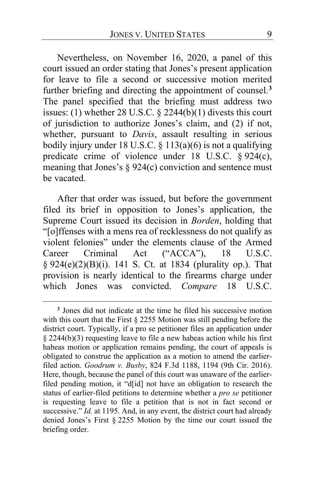Nevertheless, on November 16, 2020, a panel of this court issued an order stating that Jones's present application for leave to file a second or successive motion merited further briefing and directing the appointment of counsel.**[3](#page-8-0)** The panel specified that the briefing must address two issues: (1) whether 28 U.S.C. § 2244(b)(1) divests this court of jurisdiction to authorize Jones's claim, and (2) if not, whether, pursuant to *Davis*, assault resulting in serious bodily injury under 18 U.S.C.  $\S$  113(a)(6) is not a qualifying predicate crime of violence under 18 U.S.C. § 924(c), meaning that Jones's  $\S 924(c)$  conviction and sentence must be vacated.

After that order was issued, but before the government filed its brief in opposition to Jones's application, the Supreme Court issued its decision in *Borden*, holding that "[o]ffenses with a mens rea of recklessness do not qualify as violent felonies" under the elements clause of the Armed Career Criminal Act ("ACCA"), 18 U.S.C. § 924(e)(2)(B)(i). 141 S. Ct. at 1834 (plurality op.). That provision is nearly identical to the firearms charge under which Jones was convicted. *Compare* 18 U.S.C.

<span id="page-8-0"></span>**<sup>3</sup>** Jones did not indicate at the time he filed his successive motion with this court that the First § 2255 Motion was still pending before the district court. Typically, if a pro se petitioner files an application under § 2244(b)(3) requesting leave to file a new habeas action while his first habeas motion or application remains pending, the court of appeals is obligated to construe the application as a motion to amend the earlierfiled action. *Goodrum v. Busby*, 824 F.3d 1188, 1194 (9th Cir. 2016). Here, though, because the panel of this court was unaware of the earlierfiled pending motion, it "d[id] not have an obligation to research the status of earlier-filed petitions to determine whether a *pro se* petitioner is requesting leave to file a petition that is not in fact second or successive." *Id.* at 1195. And, in any event, the district court had already denied Jones's First § 2255 Motion by the time our court issued the briefing order.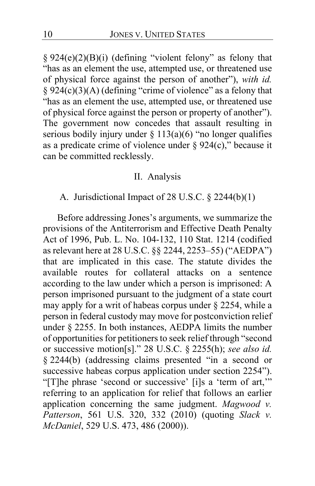§ 924(e)(2)(B)(i) (defining "violent felony" as felony that "has as an element the use, attempted use, or threatened use of physical force against the person of another"), *with id.*   $§$  924(c)(3)(A) (defining "crime of violence" as a felony that "has as an element the use, attempted use, or threatened use of physical force against the person or property of another"). The government now concedes that assault resulting in serious bodily injury under  $\S 113(a)(6)$  "no longer qualifies as a predicate crime of violence under  $\S 924(c)$ ," because it can be committed recklessly.

#### II. Analysis

#### A. Jurisdictional Impact of 28 U.S.C. § 2244(b)(1)

Before addressing Jones's arguments, we summarize the provisions of the Antiterrorism and Effective Death Penalty Act of 1996, Pub. L. No. 104-132, 110 Stat. 1214 (codified as relevant here at 28 U.S.C. §§ 2244, 2253–55) ("AEDPA") that are implicated in this case. The statute divides the available routes for collateral attacks on a sentence according to the law under which a person is imprisoned: A person imprisoned pursuant to the judgment of a state court may apply for a writ of habeas corpus under § 2254, while a person in federal custody may move for postconviction relief under § 2255. In both instances, AEDPA limits the number of opportunities for petitioners to seek relief through "second or successive motion[s]." 28 U.S.C. § 2255(h); *see also id.*  § 2244(b) (addressing claims presented "in a second or successive habeas corpus application under section 2254"). "[T]he phrase 'second or successive' [i]s a 'term of art,'" referring to an application for relief that follows an earlier application concerning the same judgment. *Magwood v. Patterson*, 561 U.S. 320, 332 (2010) (quoting *Slack v. McDaniel*, 529 U.S. 473, 486 (2000)).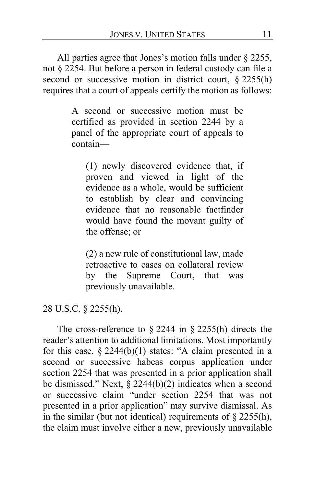All parties agree that Jones's motion falls under § 2255, not § 2254. But before a person in federal custody can file a second or successive motion in district court, § 2255(h) requires that a court of appeals certify the motion as follows:

> A second or successive motion must be certified as provided in section 2244 by a panel of the appropriate court of appeals to contain—

(1) newly discovered evidence that, if proven and viewed in light of the evidence as a whole, would be sufficient to establish by clear and convincing evidence that no reasonable factfinder would have found the movant guilty of the offense; or

(2) a new rule of constitutional law, made retroactive to cases on collateral review by the Supreme Court, that was previously unavailable.

28 U.S.C. § 2255(h).

The cross-reference to  $\S 2244$  in  $\S 2255(h)$  directs the reader's attention to additional limitations. Most importantly for this case, § 2244(b)(1) states: "A claim presented in a second or successive habeas corpus application under section 2254 that was presented in a prior application shall be dismissed." Next, § 2244(b)(2) indicates when a second or successive claim "under section 2254 that was not presented in a prior application" may survive dismissal. As in the similar (but not identical) requirements of  $\S$  2255(h), the claim must involve either a new, previously unavailable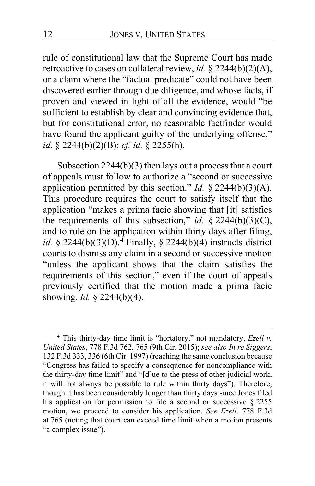rule of constitutional law that the Supreme Court has made retroactive to cases on collateral review, *id.* § 2244(b)(2)(A), or a claim where the "factual predicate" could not have been discovered earlier through due diligence, and whose facts, if proven and viewed in light of all the evidence, would "be sufficient to establish by clear and convincing evidence that, but for constitutional error, no reasonable factfinder would have found the applicant guilty of the underlying offense," *id.* § 2244(b)(2)(B); *cf. id.* § 2255(h).

Subsection 2244(b)(3) then lays out a process that a court of appeals must follow to authorize a "second or successive application permitted by this section." *Id.* § 2244(b)(3)(A). This procedure requires the court to satisfy itself that the application "makes a prima facie showing that [it] satisfies the requirements of this subsection," *id.* § 2244(b)(3)(C), and to rule on the application within thirty days after filing, *id.* § 2244(b)(3)(D).**[4](#page-11-0)** Finally, § 2244(b)(4) instructs district courts to dismiss any claim in a second or successive motion "unless the applicant shows that the claim satisfies the requirements of this section," even if the court of appeals previously certified that the motion made a prima facie showing. *Id.* § 2244(b)(4).

<span id="page-11-0"></span>**<sup>4</sup>** This thirty-day time limit is "hortatory," not mandatory. *Ezell v. United States*, 778 F.3d 762, 765 (9th Cir. 2015); *see also In re Siggers*, 132 F.3d 333, 336 (6th Cir. 1997) (reaching the same conclusion because "Congress has failed to specify a consequence for noncompliance with the thirty-day time limit" and "[d]ue to the press of other judicial work, it will not always be possible to rule within thirty days"). Therefore, though it has been considerably longer than thirty days since Jones filed his application for permission to file a second or successive § 2255 motion, we proceed to consider his application. *See Ezell*, 778 F.3d at 765 (noting that court can exceed time limit when a motion presents "a complex issue").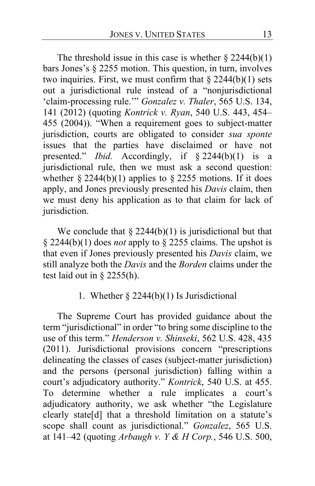The threshold issue in this case is whether  $\S 2244(b)(1)$ bars Jones's § 2255 motion. This question, in turn, involves two inquiries. First, we must confirm that  $\S 2244(b)(1)$  sets out a jurisdictional rule instead of a "nonjurisdictional 'claim-processing rule.'" *Gonzalez v. Thaler*, 565 U.S. 134, 141 (2012) (quoting *Kontrick v. Ryan*, 540 U.S. 443, 454– 455 (2004)). "When a requirement goes to subject-matter jurisdiction, courts are obligated to consider *sua sponte*  issues that the parties have disclaimed or have not presented." *Ibid.* Accordingly, if § 2244(b)(1) is a jurisdictional rule, then we must ask a second question: whether  $\S 2244(b)(1)$  applies to  $\S 2255$  motions. If it does apply, and Jones previously presented his *Davis* claim, then we must deny his application as to that claim for lack of jurisdiction.

We conclude that  $\S 2244(b)(1)$  is jurisdictional but that § 2244(b)(1) does *not* apply to § 2255 claims. The upshot is that even if Jones previously presented his *Davis* claim, we still analyze both the *Davis* and the *Borden* claims under the test laid out in  $\S$  2255(h).

# 1. Whether  $\S 2244(b)(1)$  Is Jurisdictional

The Supreme Court has provided guidance about the term "jurisdictional" in order "to bring some discipline to the use of this term." *Henderson v. Shinseki*, 562 U.S. 428, 435 (2011). Jurisdictional provisions concern "prescriptions delineating the classes of cases (subject-matter jurisdiction) and the persons (personal jurisdiction) falling within a court's adjudicatory authority." *Kontrick*, 540 U.S. at 455. To determine whether a rule implicates a court's adjudicatory authority, we ask whether "the Legislature clearly state[d] that a threshold limitation on a statute's scope shall count as jurisdictional." *Gonzalez*, 565 U.S. at 141–42 (quoting *Arbaugh v. Y & H Corp.*, 546 U.S. 500,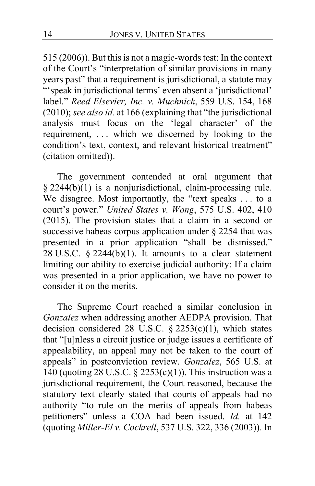515 (2006)). But this is not a magic-words test: In the context of the Court's "interpretation of similar provisions in many years past" that a requirement is jurisdictional, a statute may "'speak in jurisdictional terms' even absent a 'jurisdictional' label." *Reed Elsevier, Inc. v. Muchnick*, 559 U.S. 154, 168 (2010); *see also id.* at 166 (explaining that "the jurisdictional analysis must focus on the 'legal character' of the requirement, . . . which we discerned by looking to the condition's text, context, and relevant historical treatment" (citation omitted)).

The government contended at oral argument that § 2244(b)(1) is a nonjurisdictional, claim-processing rule. We disagree. Most importantly, the "text speaks . . . to a court's power." *United States v. Wong*, 575 U.S. 402, 410 (2015). The provision states that a claim in a second or successive habeas corpus application under § 2254 that was presented in a prior application "shall be dismissed." 28 U.S.C.  $\S$  2244(b)(1). It amounts to a clear statement limiting our ability to exercise judicial authority: If a claim was presented in a prior application, we have no power to consider it on the merits.

The Supreme Court reached a similar conclusion in *Gonzalez* when addressing another AEDPA provision. That decision considered 28 U.S.C. § 2253(c)(1), which states that "[u]nless a circuit justice or judge issues a certificate of appealability, an appeal may not be taken to the court of appeals" in postconviction review. *Gonzalez*, 565 U.S. at 140 (quoting 28 U.S.C.  $\S$  2253(c)(1)). This instruction was a jurisdictional requirement, the Court reasoned, because the statutory text clearly stated that courts of appeals had no authority "to rule on the merits of appeals from habeas petitioners" unless a COA had been issued. *Id.* at 142 (quoting *Miller-El v. Cockrell*, 537 U.S. 322, 336 (2003)). In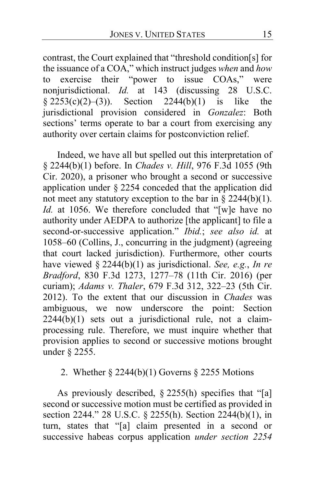contrast, the Court explained that "threshold condition[s] for the issuance of a COA," which instruct judges *when* and *how* to exercise their "power to issue COAs," were nonjurisdictional. *Id.* at 143 (discussing 28 U.S.C.  $§ 2253(c)(2)–(3))$ . Section 2244(b)(1) is like the jurisdictional provision considered in *Gonzalez*: Both sections' terms operate to bar a court from exercising any authority over certain claims for postconviction relief.

Indeed, we have all but spelled out this interpretation of § 2244(b)(1) before. In *Chades v. Hill*, 976 F.3d 1055 (9th Cir. 2020), a prisoner who brought a second or successive application under § 2254 conceded that the application did not meet any statutory exception to the bar in  $\S 2244(b)(1)$ . *Id.* at 1056. We therefore concluded that "[w]e have no authority under AEDPA to authorize [the applicant] to file a second-or-successive application." *Ibid.*; *see also id.* at 1058–60 (Collins, J., concurring in the judgment) (agreeing that court lacked jurisdiction). Furthermore, other courts have viewed § 2244(b)(1) as jurisdictional. *See, e.g.*, *In re Bradford*, 830 F.3d 1273, 1277–78 (11th Cir. 2016) (per curiam); *Adams v. Thaler*, 679 F.3d 312, 322–23 (5th Cir. 2012). To the extent that our discussion in *Chades* was ambiguous, we now underscore the point: Section  $2244(b)(1)$  sets out a jurisdictional rule, not a claimprocessing rule. Therefore, we must inquire whether that provision applies to second or successive motions brought under § 2255.

# 2. Whether § 2244(b)(1) Governs § 2255 Motions

As previously described, § 2255(h) specifies that "[a] second or successive motion must be certified as provided in section 2244." 28 U.S.C. § 2255(h). Section 2244(b)(1), in turn, states that "[a] claim presented in a second or successive habeas corpus application *under section 2254*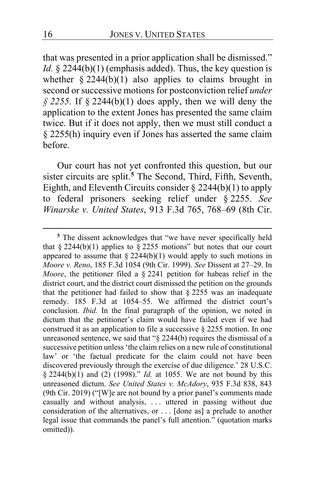that was presented in a prior application shall be dismissed." *Id.* § 2244(b)(1) (emphasis added). Thus, the key question is whether  $\S 2244(b)(1)$  also applies to claims brought in second or successive motions for postconviction relief *under*   $\frac{6}{5}$  2255. If  $\frac{6}{5}$  2244(b)(1) does apply, then we will deny the application to the extent Jones has presented the same claim twice. But if it does not apply, then we must still conduct a § 2255(h) inquiry even if Jones has asserted the same claim before.

Our court has not yet confronted this question, but our sister circuits are split.**[5](#page-15-0)** The Second, Third, Fifth, Seventh, Eighth, and Eleventh Circuits consider  $\S 2244(b)(1)$  to apply to federal prisoners seeking relief under § 2255. *See Winarske v. United States*, 913 F.3d 765, 768–69 (8th Cir.

<span id="page-15-0"></span>**<sup>5</sup>** The dissent acknowledges that "we have never specifically held that § 2244(b)(1) applies to § 2255 motions" but notes that our court appeared to assume that  $\S 2244(b)(1)$  would apply to such motions in *Moore v. Reno*, 185 F.3d 1054 (9th Cir. 1999). *See* Dissent at [27](#page-26-0)[–29.](#page-28-0) In *Moore*, the petitioner filed a § 2241 petition for habeas relief in the district court, and the district court dismissed the petition on the grounds that the petitioner had failed to show that  $\S$  2255 was an inadequate remedy. 185 F.3d at 1054–55. We affirmed the district court's conclusion. *Ibid.* In the final paragraph of the opinion, we noted in dictum that the petitioner's claim would have failed even if we had construed it as an application to file a successive § 2255 motion. In one unreasoned sentence, we said that "§ 2244(b) requires the dismissal of a successive petition unless 'the claim relies on a new rule of constitutional law' or 'the factual predicate for the claim could not have been discovered previously through the exercise of due diligence.' 28 U.S.C. § 2244(b)(1) and (2) (1998)." *Id.* at 1055. We are not bound by this unreasoned dictum. *See United States v. McAdory*, 935 F.3d 838, 843 (9th Cir. 2019) ("[W]e are not bound by a prior panel's comments made casually and without analysis, ... uttered in passing without due consideration of the alternatives, or . . . [done as] a prelude to another legal issue that commands the panel's full attention." (quotation marks omitted)).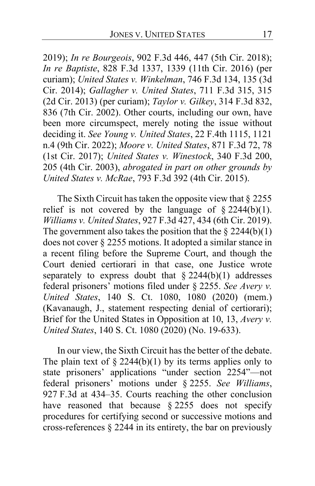2019); *In re Bourgeois*, 902 F.3d 446, 447 (5th Cir. 2018); *In re Baptiste*, 828 F.3d 1337, 1339 (11th Cir. 2016) (per curiam); *United States v. Winkelman*, 746 F.3d 134, 135 (3d Cir. 2014); *Gallagher v. United States*, 711 F.3d 315, 315 (2d Cir. 2013) (per curiam); *Taylor v. Gilkey*, 314 F.3d 832, 836 (7th Cir. 2002). Other courts, including our own, have been more circumspect, merely noting the issue without deciding it. *See Young v. United States*, 22 F.4th 1115, 1121 n.4 (9th Cir. 2022); *Moore v. United States*, 871 F.3d 72, 78 (1st Cir. 2017); *United States v. Winestock*, 340 F.3d 200, 205 (4th Cir. 2003), *abrogated in part on other grounds by United States v. McRae*, 793 F.3d 392 (4th Cir. 2015).

The Sixth Circuit has taken the opposite view that § 2255 relief is not covered by the language of  $\S 2244(b)(1)$ . *Williams v. United States*, 927 F.3d 427, 434 (6th Cir. 2019). The government also takes the position that the  $\S 2244(b)(1)$ does not cover § 2255 motions. It adopted a similar stance in a recent filing before the Supreme Court, and though the Court denied certiorari in that case, one Justice wrote separately to express doubt that  $\S 2244(b)(1)$  addresses federal prisoners' motions filed under § 2255. *See Avery v. United States*, 140 S. Ct. 1080, 1080 (2020) (mem.) (Kavanaugh, J., statement respecting denial of certiorari); Brief for the United States in Opposition at 10, 13, *Avery v. United States*, 140 S. Ct. 1080 (2020) (No. 19-633).

In our view, the Sixth Circuit has the better of the debate. The plain text of  $\S$  2244(b)(1) by its terms applies only to state prisoners' applications "under section 2254"—not federal prisoners' motions under § 2255. *See Williams*, 927 F.3d at 434–35. Courts reaching the other conclusion have reasoned that because § 2255 does not specify procedures for certifying second or successive motions and cross-references § 2244 in its entirety, the bar on previously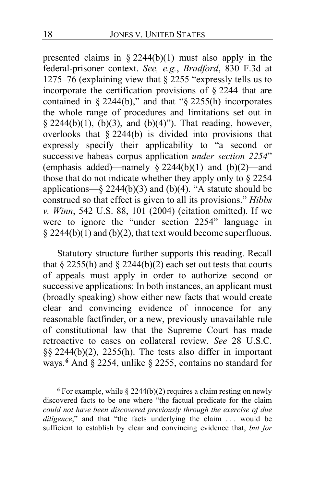presented claims in § 2244(b)(1) must also apply in the federal-prisoner context. *See, e.g.*, *Bradford*, 830 F.3d at 1275–76 (explaining view that § 2255 "expressly tells us to incorporate the certification provisions of § 2244 that are contained in § 2244(b)," and that "§ 2255(h) incorporates the whole range of procedures and limitations set out in § 2244(b)(1),  $(b)(3)$ , and  $(b)(4)$ "). That reading, however, overlooks that § 2244(b) is divided into provisions that expressly specify their applicability to "a second or successive habeas corpus application *under section 2254*" (emphasis added)—namely  $\frac{1}{8}$  2244(b)(1) and (b)(2)—and those that do not indicate whether they apply only to § 2254 applications—§ 2244(b)(3) and (b)(4). "A statute should be construed so that effect is given to all its provisions." *Hibbs v. Winn*, 542 U.S. 88, 101 (2004) (citation omitted). If we were to ignore the "under section 2254" language in  $§$  2244(b)(1) and (b)(2), that text would become superfluous.

Statutory structure further supports this reading. Recall that  $\S$  2255(h) and  $\S$  2244(b)(2) each set out tests that courts of appeals must apply in order to authorize second or successive applications: In both instances, an applicant must (broadly speaking) show either new facts that would create clear and convincing evidence of innocence for any reasonable factfinder, or a new, previously unavailable rule of constitutional law that the Supreme Court has made retroactive to cases on collateral review. *See* 28 U.S.C. §§ 2244(b)(2), 2255(h). The tests also differ in important ways.**[6](#page-17-0)** And § 2254, unlike § 2255, contains no standard for

<span id="page-17-0"></span>**<sup>6</sup>** For example, while § 2244(b)(2) requires a claim resting on newly discovered facts to be one where "the factual predicate for the claim *could not have been discovered previously through the exercise of due diligence*," and that "the facts underlying the claim ... would be sufficient to establish by clear and convincing evidence that, *but for*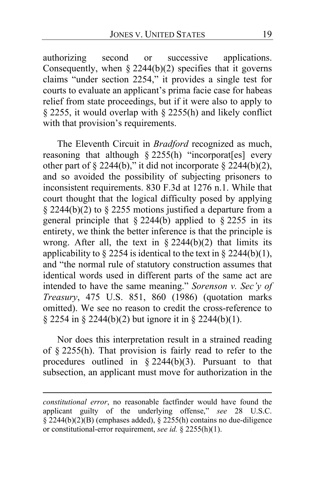authorizing second or successive applications. Consequently, when  $\S 2244(b)(2)$  specifies that it governs claims "under section 2254," it provides a single test for courts to evaluate an applicant's prima facie case for habeas relief from state proceedings, but if it were also to apply to § 2255, it would overlap with § 2255(h) and likely conflict with that provision's requirements.

The Eleventh Circuit in *Bradford* recognized as much, reasoning that although  $\S 2255(h)$  "incorporat[es] every other part of § 2244(b)," it did not incorporate § 2244(b)(2), and so avoided the possibility of subjecting prisoners to inconsistent requirements. 830 F.3d at 1276 n.1. While that court thought that the logical difficulty posed by applying  $\S$  2244(b)(2) to  $\S$  2255 motions justified a departure from a general principle that  $\S 2244(b)$  applied to  $\S 2255$  in its entirety, we think the better inference is that the principle is wrong. After all, the text in  $\S 2244(b)(2)$  that limits its applicability to  $\S$  2254 is identical to the text in  $\S$  2244(b)(1), and "the normal rule of statutory construction assumes that identical words used in different parts of the same act are intended to have the same meaning." *Sorenson v. Sec'y of Treasury*, 475 U.S. 851, 860 (1986) (quotation marks omitted). We see no reason to credit the cross-reference to § 2254 in § 2244(b)(2) but ignore it in § 2244(b)(1).

Nor does this interpretation result in a strained reading of § 2255(h). That provision is fairly read to refer to the procedures outlined in § 2244(b)(3). Pursuant to that subsection, an applicant must move for authorization in the

*constitutional error*, no reasonable factfinder would have found the applicant guilty of the underlying offense," *see* 28 U.S.C.  $\S 2244(b)(2)(B)$  (emphases added),  $\S 2255(h)$  contains no due-diligence or constitutional-error requirement, *see id.* § 2255(h)(1).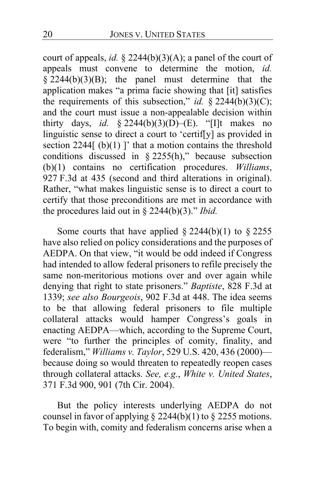court of appeals, *id.* § 2244(b)(3)(A); a panel of the court of appeals must convene to determine the motion, *id.*   $\frac{2244(b)(3)(B)}{2244(b)(3)(B)}$ ; the panel must determine that the application makes "a prima facie showing that [it] satisfies the requirements of this subsection," *id.* § 2244(b)(3)(C); and the court must issue a non-appealable decision within thirty days, *id.* § 2244(b)(3)( $\overrightarrow{D}$ )–(E). "[I]t makes no linguistic sense to direct a court to 'certif[y] as provided in section  $2244$ [ $(b)(1)$ ]' that a motion contains the threshold conditions discussed in § 2255(h)," because subsection (b)(1) contains no certification procedures. *Williams*, 927 F.3d at 435 (second and third alterations in original). Rather, "what makes linguistic sense is to direct a court to certify that those preconditions are met in accordance with the procedures laid out in § 2244(b)(3)." *Ibid.*

Some courts that have applied  $\S 2244(b)(1)$  to  $\S 2255$ have also relied on policy considerations and the purposes of AEDPA. On that view, "it would be odd indeed if Congress had intended to allow federal prisoners to refile precisely the same non-meritorious motions over and over again while denying that right to state prisoners." *Baptiste*, 828 F.3d at 1339; *see also Bourgeois*, 902 F.3d at 448. The idea seems to be that allowing federal prisoners to file multiple collateral attacks would hamper Congress's goals in enacting AEDPA—which, according to the Supreme Court, were "to further the principles of comity, finality, and federalism," *Williams v. Taylor*, 529 U.S. 420, 436 (2000) because doing so would threaten to repeatedly reopen cases through collateral attacks. *See, e.g.*, *White v. United States*, 371 F.3d 900, 901 (7th Cir. 2004).

But the policy interests underlying AEDPA do not counsel in favor of applying  $\S$  2244(b)(1) to  $\S$  2255 motions. To begin with, comity and federalism concerns arise when a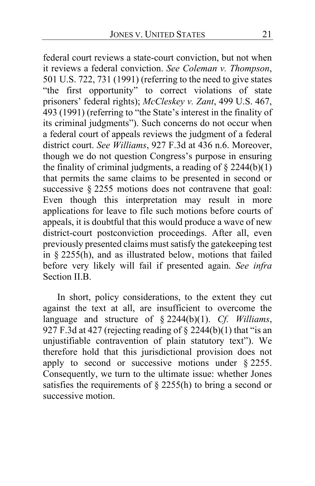federal court reviews a state-court conviction, but not when it reviews a federal conviction. *See Coleman v. Thompson*, 501 U.S. 722, 731 (1991) (referring to the need to give states "the first opportunity" to correct violations of state prisoners' federal rights); *McCleskey v. Zant*, 499 U.S. 467, 493 (1991) (referring to "the State's interest in the finality of its criminal judgments"). Such concerns do not occur when a federal court of appeals reviews the judgment of a federal district court. *See Williams*, 927 F.3d at 436 n.6. Moreover, though we do not question Congress's purpose in ensuring the finality of criminal judgments, a reading of  $\S 2244(b)(1)$ that permits the same claims to be presented in second or successive § 2255 motions does not contravene that goal: Even though this interpretation may result in more applications for leave to file such motions before courts of appeals, it is doubtful that this would produce a wave of new district-court postconviction proceedings. After all, even previously presented claims must satisfy the gatekeeping test in § 2255(h), and as illustrated below, motions that failed before very likely will fail if presented again. *See infra* Section II.B.

In short, policy considerations, to the extent they cut against the text at all, are insufficient to overcome the language and structure of § 2244(b)(1). *Cf. Williams*, 927 F.3d at 427 (rejecting reading of  $\S$  2244(b)(1) that "is an unjustifiable contravention of plain statutory text"). We therefore hold that this jurisdictional provision does not apply to second or successive motions under § 2255. Consequently, we turn to the ultimate issue: whether Jones satisfies the requirements of  $\S$  2255(h) to bring a second or successive motion.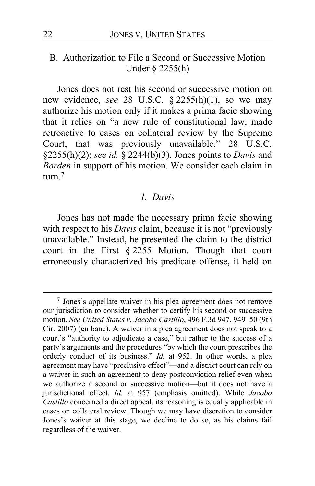# B. Authorization to File a Second or Successive Motion Under § 2255(h)

Jones does not rest his second or successive motion on new evidence, *see* 28 U.S.C. § 2255(h)(1), so we may authorize his motion only if it makes a prima facie showing that it relies on "a new rule of constitutional law, made retroactive to cases on collateral review by the Supreme Court, that was previously unavailable," 28 U.S.C. §2255(h)(2); *see id.* § 2244(b)(3). Jones points to *Davis* and *Borden* in support of his motion. We consider each claim in turn.**[7](#page-21-0)**

#### *1. Davis*

Jones has not made the necessary prima facie showing with respect to his *Davis* claim, because it is not "previously unavailable." Instead, he presented the claim to the district court in the First § 2255 Motion. Though that court erroneously characterized his predicate offense, it held on

<span id="page-21-0"></span>**<sup>7</sup>** Jones's appellate waiver in his plea agreement does not remove our jurisdiction to consider whether to certify his second or successive motion. *See United States v. Jacobo Castillo*, 496 F.3d 947, 949–50 (9th Cir. 2007) (en banc). A waiver in a plea agreement does not speak to a court's "authority to adjudicate a case," but rather to the success of a party's arguments and the procedures "by which the court prescribes the orderly conduct of its business." *Id.* at 952. In other words, a plea agreement may have "preclusive effect"—and a district court can rely on a waiver in such an agreement to deny postconviction relief even when we authorize a second or successive motion—but it does not have a jurisdictional effect. *Id.* at 957 (emphasis omitted). While *Jacobo Castillo* concerned a direct appeal, its reasoning is equally applicable in cases on collateral review. Though we may have discretion to consider Jones's waiver at this stage, we decline to do so, as his claims fail regardless of the waiver.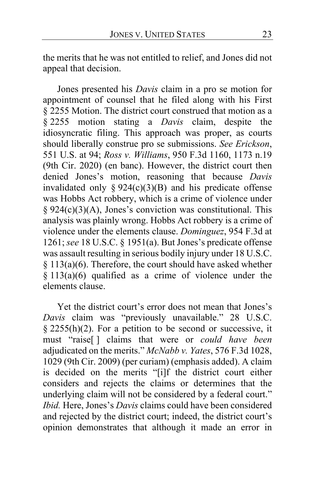the merits that he was not entitled to relief, and Jones did not appeal that decision.

Jones presented his *Davis* claim in a pro se motion for appointment of counsel that he filed along with his First § 2255 Motion. The district court construed that motion as a § 2255 motion stating a *Davis* claim, despite the idiosyncratic filing. This approach was proper, as courts should liberally construe pro se submissions. *See Erickson*, 551 U.S. at 94; *Ross v. Williams*, 950 F.3d 1160, 1173 n.19 (9th Cir. 2020) (en banc). However, the district court then denied Jones's motion, reasoning that because *Davis* invalidated only  $\S 924(c)(3)(B)$  and his predicate offense was Hobbs Act robbery, which is a crime of violence under  $§ 924(c)(3)(A)$ , Jones's conviction was constitutional. This analysis was plainly wrong. Hobbs Act robbery is a crime of violence under the elements clause. *Dominguez*, 954 F.3d at 1261; *see* 18 U.S.C. § 1951(a). But Jones's predicate offense was assault resulting in serious bodily injury under 18 U.S.C. § 113(a)(6). Therefore, the court should have asked whether § 113(a)(6) qualified as a crime of violence under the elements clause.

Yet the district court's error does not mean that Jones's *Davis* claim was "previously unavailable." 28 U.S.C.  $\S$  2255(h)(2). For a petition to be second or successive, it must "raise[ ] claims that were or *could have been* adjudicated on the merits." *McNabb v. Yates*, 576 F.3d 1028, 1029 (9th Cir. 2009) (per curiam) (emphasis added). A claim is decided on the merits "[i]f the district court either considers and rejects the claims or determines that the underlying claim will not be considered by a federal court." *Ibid.* Here, Jones's *Davis* claims could have been considered and rejected by the district court; indeed, the district court's opinion demonstrates that although it made an error in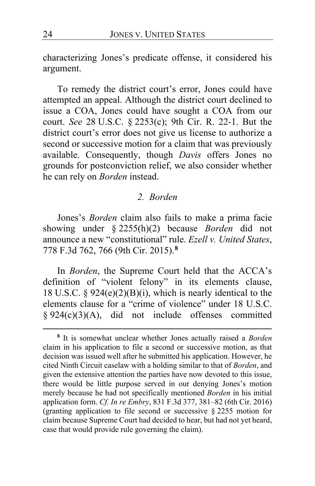characterizing Jones's predicate offense, it considered his argument.

To remedy the district court's error, Jones could have attempted an appeal. Although the district court declined to issue a COA, Jones could have sought a COA from our court. *See* 28 U.S.C. § 2253(c); 9th Cir. R. 22-1. But the district court's error does not give us license to authorize a second or successive motion for a claim that was previously available. Consequently, though *Davis* offers Jones no grounds for postconviction relief, we also consider whether he can rely on *Borden* instead.

#### *2. Borden*

Jones's *Borden* claim also fails to make a prima facie showing under § 2255(h)(2) because *Borden* did not announce a new "constitutional" rule. *Ezell v. United States*, 778 F.3d 762, 766 (9th Cir. 2015).**[8](#page-23-0)**

In *Borden*, the Supreme Court held that the ACCA's definition of "violent felony" in its elements clause, 18 U.S.C. §  $924(e)(2)(B)(i)$ , which is nearly identical to the elements clause for a "crime of violence" under 18 U.S.C. § 924(c)(3)(A), did not include offenses committed

<span id="page-23-0"></span>**<sup>8</sup>** It is somewhat unclear whether Jones actually raised a *Borden* claim in his application to file a second or successive motion, as that decision was issued well after he submitted his application. However, he cited Ninth Circuit caselaw with a holding similar to that of *Borden*, and given the extensive attention the parties have now devoted to this issue, there would be little purpose served in our denying Jones's motion merely because he had not specifically mentioned *Borden* in his initial application form. *Cf. In re Embry*, 831 F.3d 377, 381–82 (6th Cir. 2016) (granting application to file second or successive § 2255 motion for claim because Supreme Court had decided to hear, but had not yet heard, case that would provide rule governing the claim).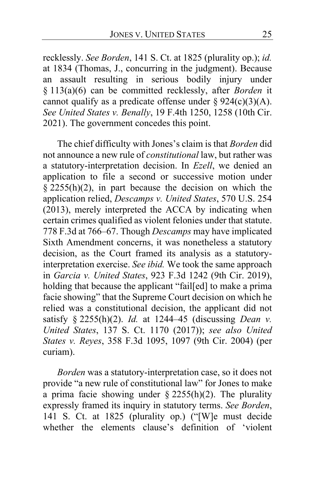recklessly. *See Borden*, 141 S. Ct. at 1825 (plurality op.); *id.* at 1834 (Thomas, J., concurring in the judgment). Because an assault resulting in serious bodily injury under § 113(a)(6) can be committed recklessly, after *Borden* it cannot qualify as a predicate offense under  $\S 924(c)(3)(A)$ . *See United States v. Benally*, 19 F.4th 1250, 1258 (10th Cir. 2021). The government concedes this point.

The chief difficulty with Jones's claim is that *Borden* did not announce a new rule of *constitutional* law, but rather was a statutory-interpretation decision. In *Ezell*, we denied an application to file a second or successive motion under  $\S$  2255(h)(2), in part because the decision on which the application relied, *Descamps v. United States*, 570 U.S. 254 (2013), merely interpreted the ACCA by indicating when certain crimes qualified as violent felonies under that statute. 778 F.3d at 766–67. Though *Descamps* may have implicated Sixth Amendment concerns, it was nonetheless a statutory decision, as the Court framed its analysis as a statutoryinterpretation exercise. *See ibid.* We took the same approach in *Garcia v. United States*, 923 F.3d 1242 (9th Cir. 2019), holding that because the applicant "fail[ed] to make a prima facie showing" that the Supreme Court decision on which he relied was a constitutional decision, the applicant did not satisfy § 2255(h)(2). *Id.* at 1244–45 (discussing *Dean v. United States*, 137 S. Ct. 1170 (2017)); *see also United States v. Reyes*, 358 F.3d 1095, 1097 (9th Cir. 2004) (per curiam).

*Borden* was a statutory-interpretation case, so it does not provide "a new rule of constitutional law" for Jones to make a prima facie showing under  $\S$  2255(h)(2). The plurality expressly framed its inquiry in statutory terms. *See Borden*, 141 S. Ct. at 1825 (plurality op.) ("[W]e must decide whether the elements clause's definition of 'violent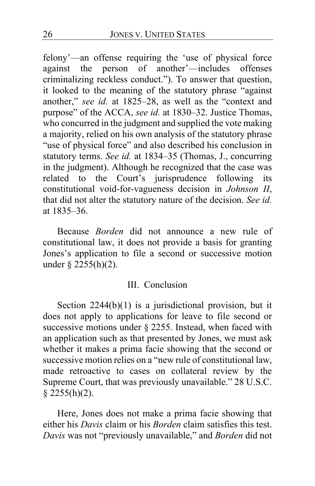felony'—an offense requiring the 'use of physical force against the person of another'—includes offenses criminalizing reckless conduct."). To answer that question, it looked to the meaning of the statutory phrase "against another," *see id.* at 1825–28, as well as the "context and purpose" of the ACCA, *see id.* at 1830–32. Justice Thomas, who concurred in the judgment and supplied the vote making a majority, relied on his own analysis of the statutory phrase "use of physical force" and also described his conclusion in statutory terms. *See id.* at 1834–35 (Thomas, J., concurring in the judgment). Although he recognized that the case was related to the Court's jurisprudence following its constitutional void-for-vagueness decision in *Johnson II*, that did not alter the statutory nature of the decision. *See id.* at 1835–36.

Because *Borden* did not announce a new rule of constitutional law, it does not provide a basis for granting Jones's application to file a second or successive motion under § 2255(h)(2).

#### III. Conclusion

Section 2244(b)(1) is a jurisdictional provision, but it does not apply to applications for leave to file second or successive motions under § 2255. Instead, when faced with an application such as that presented by Jones, we must ask whether it makes a prima facie showing that the second or successive motion relies on a "new rule of constitutional law, made retroactive to cases on collateral review by the Supreme Court, that was previously unavailable." 28 U.S.C.  $§$  2255(h)(2).

Here, Jones does not make a prima facie showing that either his *Davis* claim or his *Borden* claim satisfies this test. *Davis* was not "previously unavailable," and *Borden* did not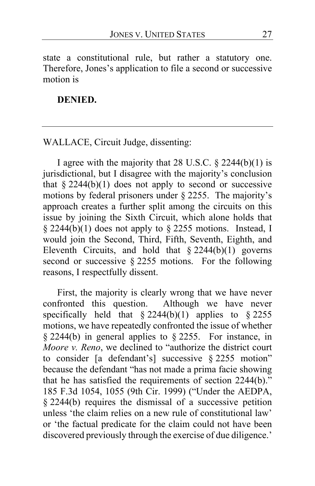state a constitutional rule, but rather a statutory one. Therefore, Jones's application to file a second or successive motion is

# **DENIED.**

WALLACE, Circuit Judge, dissenting:

I agree with the majority that 28 U.S.C.  $\S$  2244(b)(1) is jurisdictional, but I disagree with the majority's conclusion that  $§$  2244(b)(1) does not apply to second or successive motions by federal prisoners under § 2255. The majority's approach creates a further split among the circuits on this issue by joining the Sixth Circuit, which alone holds that § 2244(b)(1) does not apply to § 2255 motions. Instead, I would join the Second, Third, Fifth, Seventh, Eighth, and Eleventh Circuits, and hold that  $\S 2244(b)(1)$  governs second or successive § 2255 motions. For the following reasons, I respectfully dissent.

<span id="page-26-0"></span>First, the majority is clearly wrong that we have never confronted this question. Although we have never specifically held that  $\S 2244(b)(1)$  applies to  $\S 2255$ motions, we have repeatedly confronted the issue of whether § 2244(b) in general applies to § 2255. For instance, in *Moore v. Reno*, we declined to "authorize the district court to consider [a defendant's] successive § 2255 motion" because the defendant "has not made a prima facie showing that he has satisfied the requirements of section 2244(b)." 185 F.3d 1054, 1055 (9th Cir. 1999) ("Under the AEDPA, § 2244(b) requires the dismissal of a successive petition unless 'the claim relies on a new rule of constitutional law' or 'the factual predicate for the claim could not have been discovered previously through the exercise of due diligence.'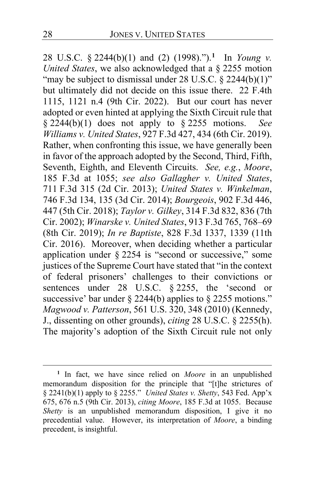28 U.S.C. § 2244(b)(1) and (2) (1998).").**[1](#page-27-0)** In *Young v. United States*, we also acknowledged that a § 2255 motion "may be subject to dismissal under 28 U.S.C. § 2244(b)(1)" but ultimately did not decide on this issue there. 22 F.4th 1115, 1121 n.4 (9th Cir. 2022). But our court has never adopted or even hinted at applying the Sixth Circuit rule that § 2244(b)(1) does not apply to § 2255 motions. *See Williams v. United States*, 927 F.3d 427, 434 (6th Cir. 2019). Rather, when confronting this issue, we have generally been in favor of the approach adopted by the Second, Third, Fifth, Seventh, Eighth, and Eleventh Circuits. *See, e.g.*, *Moore*, 185 F.3d at 1055; *see also Gallagher v. United States*, 711 F.3d 315 (2d Cir. 2013); *United States v. Winkelman*, 746 F.3d 134, 135 (3d Cir. 2014); *Bourgeois*, 902 F.3d 446, 447 (5th Cir. 2018); *Taylor v. Gilkey*, 314 F.3d 832, 836 (7th Cir. 2002); *Winarske v. United States*, 913 F.3d 765, 768–69 (8th Cir. 2019); *In re Baptiste*, 828 F.3d 1337, 1339 (11th Cir. 2016). Moreover, when deciding whether a particular application under § 2254 is "second or successive," some justices of the Supreme Court have stated that "in the context of federal prisoners' challenges to their convictions or sentences under 28 U.S.C. § 2255, the 'second or successive' bar under  $\S$  2244(b) applies to  $\S$  2255 motions." *Magwood v. Patterson*, 561 U.S. 320, 348 (2010) (Kennedy, J., dissenting on other grounds), *citing* 28 U.S.C. § 2255(h). The majority's adoption of the Sixth Circuit rule not only

<span id="page-27-0"></span>**<sup>1</sup>** In fact, we have since relied on *Moore* in an unpublished memorandum disposition for the principle that "[t]he strictures of § 2241(b)(1) apply to § 2255." *United States v. Shetty*, 543 Fed. App'x 675, 676 n.5 (9th Cir. 2013), *citing Moore*, 185 F.3d at 1055. Because *Shetty* is an unpublished memorandum disposition, I give it no precedential value. However, its interpretation of *Moore*, a binding precedent, is insightful.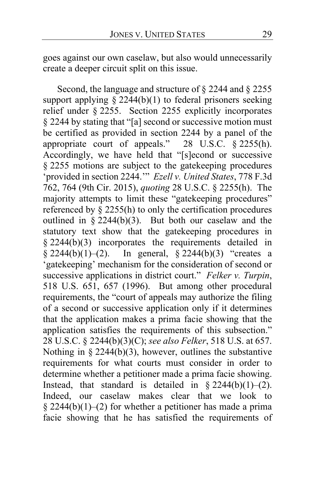<span id="page-28-0"></span>goes against our own caselaw, but also would unnecessarily create a deeper circuit split on this issue.

Second, the language and structure of § 2244 and § 2255 support applying  $\S 2244(b)(1)$  to federal prisoners seeking relief under § 2255. Section 2255 explicitly incorporates § 2244 by stating that "[a] second or successive motion must be certified as provided in section 2244 by a panel of the appropriate court of appeals." 28 U.S.C. § 2255(h). Accordingly, we have held that "[s]econd or successive § 2255 motions are subject to the gatekeeping procedures 'provided in section 2244.'" *Ezell v. United States*, 778 F.3d 762, 764 (9th Cir. 2015), *quoting* 28 U.S.C. § 2255(h). The majority attempts to limit these "gatekeeping procedures" referenced by  $\hat{\S}$  2255(h) to only the certification procedures outlined in  $\frac{2244(b)(3)}{3}$ . But both our caselaw and the statutory text show that the gatekeeping procedures in § 2244(b)(3) incorporates the requirements detailed in § 2244(b)(1)–(2). In general, § 2244(b)(3) "creates a 'gatekeeping' mechanism for the consideration of second or successive applications in district court." *Felker v. Turpin*, 518 U.S. 651, 657 (1996). But among other procedural requirements, the "court of appeals may authorize the filing of a second or successive application only if it determines that the application makes a prima facie showing that the application satisfies the requirements of this subsection." 28 U.S.C. § 2244(b)(3)(C); *see also Felker*, 518 U.S. at 657. Nothing in § 2244(b)(3), however, outlines the substantive requirements for what courts must consider in order to determine whether a petitioner made a prima facie showing. Instead, that standard is detailed in  $\S 2244(b)(1)-(2)$ . Indeed, our caselaw makes clear that we look to § 2244(b)(1)–(2) for whether a petitioner has made a prima facie showing that he has satisfied the requirements of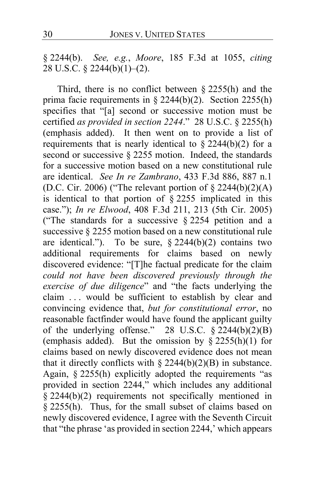§ 2244(b). *See, e.g.*, *Moore*, 185 F.3d at 1055, *citing*  28 U.S.C. § 2244(b)(1)–(2).

Third, there is no conflict between  $\S 2255(h)$  and the prima facie requirements in § 2244(b)(2). Section 2255(h) specifies that "[a] second or successive motion must be certified *as provided in section 2244*." 28 U.S.C. § 2255(h) (emphasis added). It then went on to provide a list of requirements that is nearly identical to  $\S$  2244(b)(2) for a second or successive  $\S 2255$  motion. Indeed, the standards for a successive motion based on a new constitutional rule are identical. *See In re Zambrano*, 433 F.3d 886, 887 n.1 (D.C. Cir. 2006) ("The relevant portion of  $\S 2244(b)(2)(A)$ is identical to that portion of § 2255 implicated in this case."); *In re Elwood*, 408 F.3d 211, 213 (5th Cir. 2005) ("The standards for a successive § 2254 petition and a successive § 2255 motion based on a new constitutional rule are identical."). To be sure,  $\S 2244(b)(2)$  contains two additional requirements for claims based on newly discovered evidence: "[T]he factual predicate for the claim *could not have been discovered previously through the exercise of due diligence*" and "the facts underlying the claim . . . would be sufficient to establish by clear and convincing evidence that, *but for constitutional error*, no reasonable factfinder would have found the applicant guilty of the underlying offense." 28 U.S.C.  $\hat{\S}$  2244(b)(2)(B) (emphasis added). But the omission by  $\S$  2255(h)(1) for claims based on newly discovered evidence does not mean that it directly conflicts with  $\S 2244(b)(2)(B)$  in substance. Again, § 2255(h) explicitly adopted the requirements "as provided in section 2244," which includes any additional § 2244(b)(2) requirements not specifically mentioned in § 2255(h). Thus, for the small subset of claims based on newly discovered evidence, I agree with the Seventh Circuit that "the phrase 'as provided in section 2244,' which appears